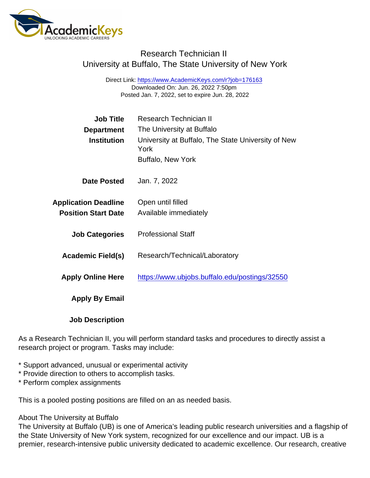## Research Technician II University at Buffalo, The State University of New York

Direct Link: <https://www.AcademicKeys.com/r?job=176163> Downloaded On: Jun. 26, 2022 7:50pm Posted Jan. 7, 2022, set to expire Jun. 28, 2022

| <b>Job Title</b>            | <b>Research Technician II</b>                              |
|-----------------------------|------------------------------------------------------------|
| Department                  | The University at Buffalo                                  |
| Institution                 | University at Buffalo, The State University of New<br>York |
|                             | <b>Buffalo, New York</b>                                   |
| Date Posted                 | Jan. 7, 2022                                               |
| <b>Application Deadline</b> | Open until filled                                          |
| <b>Position Start Date</b>  | Available immediately                                      |
| <b>Job Categories</b>       | <b>Professional Staff</b>                                  |
| Academic Field(s)           | Research/Technical/Laboratory                              |
| <b>Apply Online Here</b>    | https://www.ubjobs.buffalo.edu/postings/32550              |
| Apply By Email              |                                                            |
| <b>Job Description</b>      |                                                            |

As a Research Technician II, you will perform standard tasks and procedures to directly assist a research project or program. Tasks may include:

- \* Support advanced, unusual or experimental activity
- \* Provide direction to others to accomplish tasks.
- \* Perform complex assignments

This is a pooled posting positions are filled on an as needed basis.

## About The University at Buffalo

The University at Buffalo (UB) is one of America's leading public research universities and a flagship of the State University of New York system, recognized for our excellence and our impact. UB is a premier, research-intensive public university dedicated to academic excellence. Our research, creative